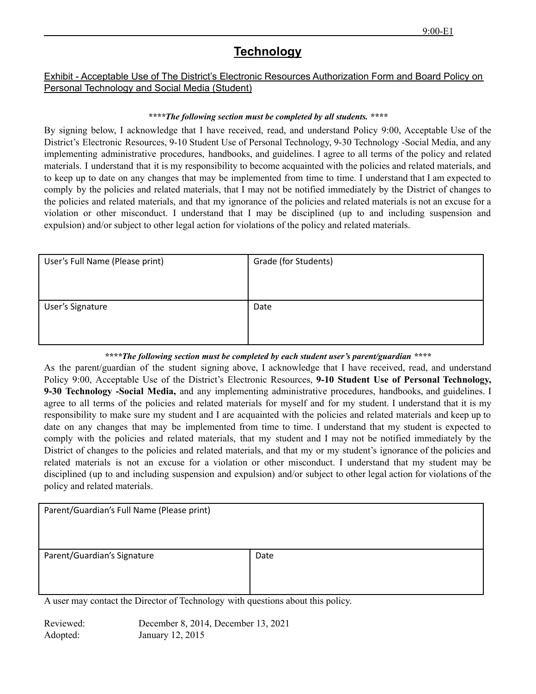## **Technology**

## Exhibit - Acceptable Use of The District's Electronic Resources Authorization Form and Board Policy on Personal Technology and Social Media (Student)

## *\*\*\*\*The following section must be completed by all students. \*\*\*\**

By signing below, I acknowledge that I have received, read, and understand Policy 9:00, Acceptable Use of the District's Electronic Resources, 9-10 Student Use of Personal Technology, 9-30 Technology -Social Media, and any implementing administrative procedures, handbooks, and guidelines. I agree to all terms of the policy and related materials. I understand that it is my responsibility to become acquainted with the policies and related materials, and to keep up to date on any changes that may be implemented from time to time. I understand that I am expected to comply by the policies and related materials, that I may not be notified immediately by the District of changes to the policies and related materials, and that my ignorance of the policies and related materials is not an excuse for a violation or other misconduct. I understand that I may be disciplined (up to and including suspension and expulsion) and/or subject to other legal action for violations of the policy and related materials.

| User's Full Name (Please print) | Grade (for Students) |
|---------------------------------|----------------------|
| User's Signature                | Date                 |

## *\*\*\*\*The following section must be completed by each student user's parent/guardian \*\*\*\**

As the parent/guardian of the student signing above, I acknowledge that I have received, read, and understand Policy 9:00, Acceptable Use of the District's Electronic Resources, **9-10 Student Use of Personal Technology, 9-30 Technology -Social Media,** and any implementing administrative procedures, handbooks, and guidelines. I agree to all terms of the policies and related materials for myself and for my student. I understand that it is my responsibility to make sure my student and I are acquainted with the policies and related materials and keep up to date on any changes that may be implemented from time to time. I understand that my student is expected to comply with the policies and related materials, that my student and I may not be notified immediately by the District of changes to the policies and related materials, and that my or my student's ignorance of the policies and related materials is not an excuse for a violation or other misconduct. I understand that my student may be disciplined (up to and including suspension and expulsion) and/or subject to other legal action for violations of the policy and related materials.

| Parent/Guardian's Full Name (Please print) |      |
|--------------------------------------------|------|
| Parent/Guardian's Signature                | Date |

A user may contact the Director of Technology with questions about this policy.

Reviewed: December 8, 2014, December 13, 2021 Adopted: January 12, 2015